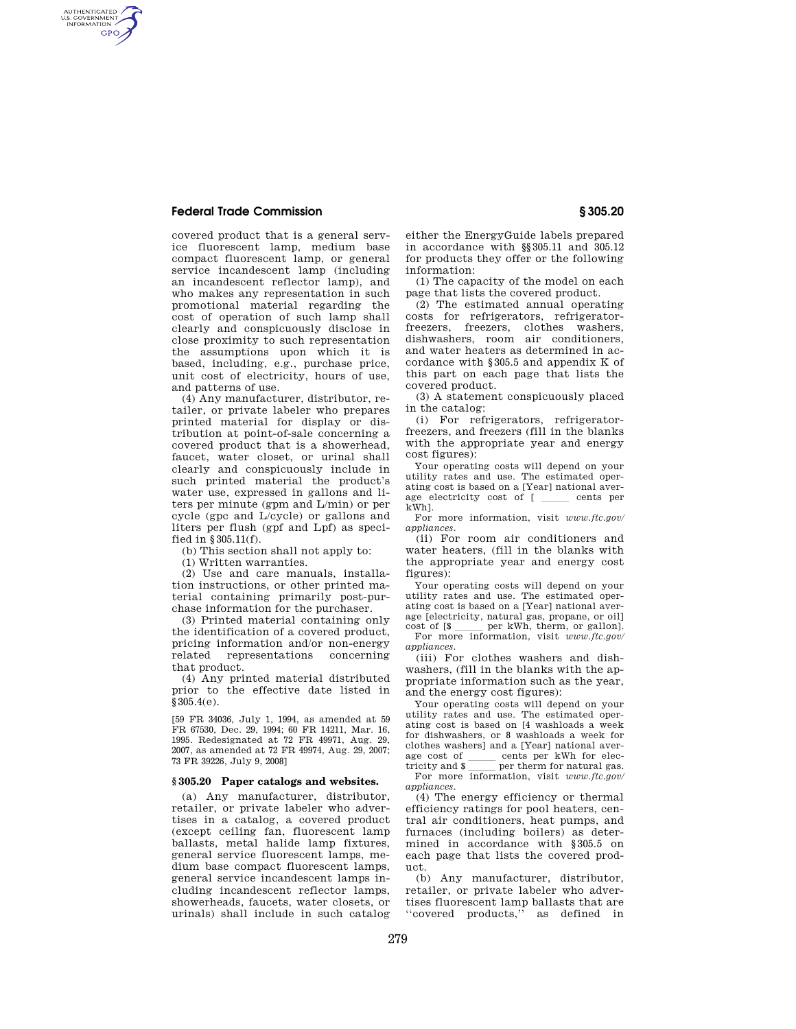## **Federal Trade Commission § 305.20**

AUTHENTICATED<br>U.S. GOVERNMENT<br>INFORMATION **GPO** 

> covered product that is a general service fluorescent lamp, medium base compact fluorescent lamp, or general service incandescent lamp (including an incandescent reflector lamp), and who makes any representation in such promotional material regarding the cost of operation of such lamp shall clearly and conspicuously disclose in close proximity to such representation the assumptions upon which it is based, including, e.g., purchase price, unit cost of electricity, hours of use, and patterns of use.

> (4) Any manufacturer, distributor, retailer, or private labeler who prepares printed material for display or distribution at point-of-sale concerning a covered product that is a showerhead, faucet, water closet, or urinal shall clearly and conspicuously include in such printed material the product's water use, expressed in gallons and liters per minute (gpm and L/min) or per cycle (gpc and L/cycle) or gallons and liters per flush (gpf and Lpf) as specified in §305.11(f).

(b) This section shall not apply to:

(1) Written warranties.

(2) Use and care manuals, installation instructions, or other printed material containing primarily post-purchase information for the purchaser.

(3) Printed material containing only the identification of a covered product, pricing information and/or non-energy related representations concerning that product.

(4) Any printed material distributed prior to the effective date listed in §305.4(e).

[59 FR 34036, July 1, 1994, as amended at 59 FR 67530, Dec. 29, 1994; 60 FR 14211, Mar. 16, 1995. Redesignated at 72 FR 49971, Aug. 29, 2007, as amended at 72 FR 49974, Aug. 29, 2007; 73 FR 39226, July 9, 2008]

## **§ 305.20 Paper catalogs and websites.**

(a) Any manufacturer, distributor, retailer, or private labeler who advertises in a catalog, a covered product (except ceiling fan, fluorescent lamp ballasts, metal halide lamp fixtures, general service fluorescent lamps, medium base compact fluorescent lamps, general service incandescent lamps including incandescent reflector lamps, showerheads, faucets, water closets, or urinals) shall include in such catalog

either the EnergyGuide labels prepared in accordance with §§305.11 and 305.12 for products they offer or the following information:

(1) The capacity of the model on each page that lists the covered product.

(2) The estimated annual operating costs for refrigerators, refrigeratorfreezers, freezers, clothes washers, dishwashers, room air conditioners, and water heaters as determined in accordance with §305.5 and appendix K of this part on each page that lists the covered product.

(3) A statement conspicuously placed in the catalog:

(i) For refrigerators, refrigeratorfreezers, and freezers (fill in the blanks with the appropriate year and energy cost figures):

Your operating costs will depend on your utility rates and use. The estimated operating cost is based on a [Year] national average electricity cost of [ cents per kWh].

For more information, visit *www.ftc.gov/ appliances.* 

(ii) For room air conditioners and water heaters, (fill in the blanks with the appropriate year and energy cost figures):

Your operating costs will depend on your utility rates and use. The estimated operating cost is based on a [Year] national average [electricity, natural gas, propane, or oil] cost of [\$ per kWh, therm, or gallon].

cost of  $[\$ \_\_\_\_perp\]$  per kWh, therm, or gallon].<br>For more information, visit *www.ftc.gov*/ *appliances.* 

(iii) For clothes washers and dishwashers, (fill in the blanks with the appropriate information such as the year, and the energy cost figures):

Your operating costs will depend on your utility rates and use. The estimated operating cost is based on [4 washloads a week for dishwashers, or 8 washloads a week for clothes washers] and a [Year] national average cost of cents per kWh for electricity and  $\sqrt{s}$  per therm for natural gas. tricity and \$ <u>less</u> per therm for natural gas.<br>For more information, visit *www.ftc.gov*/ *appliances.* 

(4) The energy efficiency or thermal efficiency ratings for pool heaters, central air conditioners, heat pumps, and furnaces (including boilers) as determined in accordance with §305.5 on each page that lists the covered product.

(b) Any manufacturer, distributor, retailer, or private labeler who advertises fluorescent lamp ballasts that are "covered products," as defined in